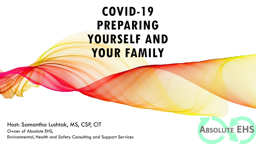# **COVID-19 PREPARING YOURSELF AND YOUR FAMILY**

Host: Samantha Lushtak, MS, CSP, CIT Owner of Absolute EHS, Environmental, Health and Safety Consulting and Support Services

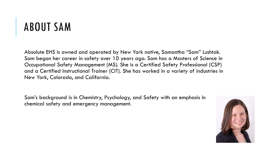# ABOUT SAM

Absolute EHS is owned and operated by New York native, Samantha "Sam" Lushtak. Sam began her career in safety over 10 years ago. Sam has a Masters of Science in Occupational Safety Management (MS). She is a Certified Safety Professional (CSP) and a Certified Instructional Trainer (CIT). She has worked in a variety of industries in New York, Colorado, and California.

Sam's background is in Chemistry, Psychology, and Safety with an emphasis in chemical safety and emergency management.

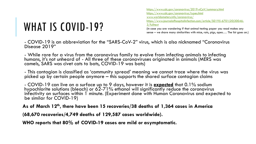# WHAT IS COVID-19?

<https://www.cdc.gov/coronavirus/2019-nCoV/summary.html> <https://www.cdc.gov/coronavirus/types.html> [www.worldometers.info/coronavirus/](http://www.worldometers.info/coronavirus/) [https://www.journalofhospitalinfection.com/article/S0195-6701\(20\)30046-](https://www.journalofhospitalinfection.com/article/S0195-6701(20)30046-3/fulltext) 3/fulltext (in case you are wondering if that animal testing paper you read makes any

sense – we share many similarities with mice, rats, pigs, apes…. The list goes on.)

- COVID-19 is an abbreviation for the "SARS-CoV-2" virus, which is also nicknamed "Coronavirus Disease 2019"

- While rare for a virus from the coronavirus family to evolve from infecting animals to infecting humans, it's not unheard of - All three of these coronaviruses originated in animals (MERS was camels, SARS was civet cats to bats, COVID-19 was bats)

- This contagion is classified as 'community spread' meaning we cannot trace where the virus was picked up by certain people anymore – this supports the shared surface contagion claims

- COVID-19 can live on a surface up to 9 days, however it is **expected** that 0.1% sodium hypochlorite solutions (bleach) or 62-71% ethanol will significantly reduce the coronavirus infectivity on surfaces within 1 minute. (Experiment done with Human Coronavirus and expected to be similar for COVID-19)

**As of March 12th, there have been 15 recoveries/38 deaths of 1,364 cases in America** 

**(68,670 recoveries/4,749 deaths of 129,587 cases worldwide).** 

**WHO reports that 80% of COVID-19 cases are mild or asymptomatic.**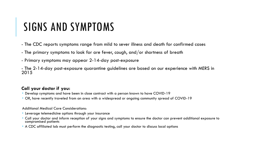### SIGNS AND SYMPTOMS

- The CDC reports symptoms range from mild to sever illness and death for confirmed cases
- The primary symptoms to look for are fever, cough, and/or shortness of breath
- Primary symptoms may appear 2-14-day post-exposure
- The 2-14-day post-exposure quarantine guidelines are based on our experience with MERS in 2015

### **Call your doctor if you:**

- Develop symptoms and have been in close contract with a person known to have COVID-19
- OR, have recently traveled from an area with a widespread or ongoing community spread of COVID-19

#### Additional Medical Care Considerations:

- Leverage telemedicine options through your insurance
- Call your doctor and inform reception of your signs and symptoms to ensure the doctor can prevent additional exposure to compromised patients
- A CDC affiliated lab must perform the diagnostic testing, call your doctor to discuss local options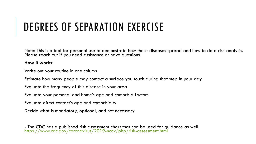## DEGREES OF SEPARATION EXERCISE

Note: This is a tool for personal use to demonstrate how these diseases spread and how to do a risk analysis. Please reach out if you need assistance or have questions.

### **How it works:**

Write out your routine in one column

Estimate how many people may contact a surface you touch during that step in your day

Evaluate the frequency of this disease in your area

Evaluate your personal and home's age and comorbid factors

Evaluate direct contact's age and comorbidity

Decide what is mandatory, optional, and not necessary

- The CDC has a published risk assessment chart that can be used for guidance as well: <https://www.cdc.gov/coronavirus/2019-ncov/php/risk-assessment.html>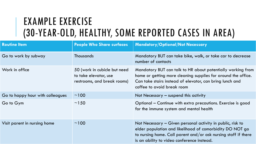### EXAMPLE EXERCISE (30-YEAR-OLD, HEALTHY, SOME REPORTED CASES IN AREA)

| <b>Routine Item</b>              | <b>People Who Share surfaces</b>                                                     | <b>Mandatory/Optional/Not Necessary</b>                                                                                                                                                                                                |
|----------------------------------|--------------------------------------------------------------------------------------|----------------------------------------------------------------------------------------------------------------------------------------------------------------------------------------------------------------------------------------|
| Go to work by subway             | <b>Thousands</b>                                                                     | Mandatory BUT can take bike, walk, or take car to decrease<br>number of contacts                                                                                                                                                       |
| Work in office                   | 50 (work in cubicle but need<br>to take elevator, use<br>restrooms, and break rooms) | Mandatory BUT can talk to HR about potentially working from<br>home or getting more cleaning supplies for around the office.<br>Can take stairs instead of elevator, can bring lunch and<br>coffee to avoid break room                 |
| Go to happy hour with colleagues | ~100                                                                                 | Not Necessary $-$ suspend this activity                                                                                                                                                                                                |
| Go to Gym                        | ~150                                                                                 | Optional – Continue with extra precautions. Exercise is good<br>for the immune system and mental health                                                                                                                                |
| Visit parent in nursing home     | ~100                                                                                 | Not Necessary - Given personal activity in public, risk to<br>elder population and likelihood of comorbidity DO NOT go<br>to nursing home. Call parent and/or ask nursing staff if there<br>is an ability to video conference instead. |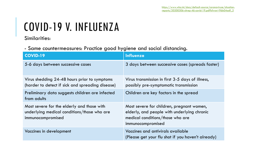# COVID-19 V. INFLUENZA

Similarities:

- Same countermeasures: Practice good hygiene and social distancing.

| <b>COVID-19</b>                                                                                                | <b>Influenza</b>                                                                                                                                  |
|----------------------------------------------------------------------------------------------------------------|---------------------------------------------------------------------------------------------------------------------------------------------------|
| 5-6 days between successive cases                                                                              | 3 days between successive cases (spreads faster)                                                                                                  |
| Virus shedding 24-48 hours prior to symptoms<br>(harder to detect if sick and spreading disease)               | Virus transmission in first 3-5 days of illness,<br>possibly pre-symptomatic transmission                                                         |
| Preliminary data suggests children are infected<br>from adults                                                 | Children are key factors in the spread                                                                                                            |
| Most severe for the elderly and those with<br>underlying medical conditions/those who are<br>immunocompromised | Most severe for children, pregnant women,<br>elderly, and people with underlying chronic<br>medical conditions/those who are<br>immunocompromised |
| Vaccines in development                                                                                        | Vaccines and antivirals available<br>(Please get your flu shot if you haven't already)                                                            |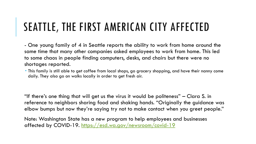## SEATTLE, THE FIRST AMERICAN CITY AFFECTED

- One young family of 4 in Seattle reports the ability to work from home around the same time that many other companies asked employees to work from home. This led to some chaos in people finding computers, desks, and chairs but there were no shortages reported.

 This family is still able to get coffee from local shops, go grocery shopping, and have their nanny come daily. They also go on walks locally in order to get fresh air.

"If there's one thing that will get us the virus it would be politeness" – Clara S. in reference to neighbors sharing food and shaking hands. "Originally the guidance was elbow bumps but now they're saying try not to make contact when you greet people."

Note: Washington State has a new program to help employees and businesses affected by COVID-19. <https://esd.wa.gov/newsroom/covid-19>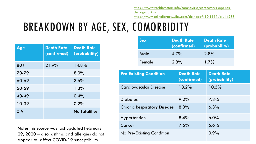[https://www.worldometers.info/coronavirus/coronavirus-age-sex](https://www.worldometers.info/coronavirus/coronavirus-age-sex-demographics/)demographics/

<https://www.onlinelibrary.wiley.com/doi/epdf/10.1111/all.14238>

## BREAKDOWN BY AGE, SEX, COMORBIDITY

| Age     | <b>Death Rate</b><br>(confirmed) | <b>Death Rate</b><br>(probability) |
|---------|----------------------------------|------------------------------------|
| $80 +$  | 21.9%                            | 14.8%                              |
| 70-79   |                                  | 8.0%                               |
| 60-69   |                                  | 3.6%                               |
| 50-59   |                                  | 1.3%                               |
| 40-49   |                                  | 0.4%                               |
| 10-39   |                                  | 0.2%                               |
| $0 - 9$ |                                  | No fatalities                      |

Note: this source was last updated February 29, 2020 – also, asthma and allergies do not appear to affect COVID-19 susceptibility

|                                    | <b>Sex</b> | <b>Death Rate</b><br>(confirmed) |         |                                    | <b>Death Rate</b><br>(probability) |  |
|------------------------------------|------------|----------------------------------|---------|------------------------------------|------------------------------------|--|
|                                    | Male       |                                  | $4.7\%$ |                                    | 2.8%                               |  |
|                                    | Female     |                                  | 2.8%    |                                    | $1.7\%$                            |  |
| <b>Pre-Existing Condition</b>      |            | <b>Death Rate</b><br>(confirmed) |         | <b>Death Rate</b><br>(probability) |                                    |  |
| <b>Cardiovascular Disease</b>      |            | 13.2%                            |         | 10.5%                              |                                    |  |
| <b>Diabetes</b>                    |            |                                  | 9.2%    |                                    | 7.3%                               |  |
| <b>Chronic Respiratory Disease</b> |            | $8.0\%$                          |         | 6.3%                               |                                    |  |
| <b>Hypertension</b>                |            | 8.4%                             |         | 6.0%                               |                                    |  |
| Cancer                             |            | 7.6%                             |         | 5.6%                               |                                    |  |

No Pre-Existing Condition No Pre-Existing Condition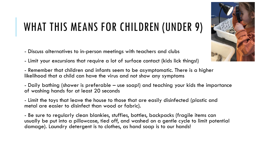## WHAT THIS MEANS FOR CHILDREN (UNDER 9)

- Discuss alternatives to in-person meetings with teachers and clubs
- Limit your excursions that require a lot of surface contact (kids lick things!)

- Remember that children and infants seem to be asymptomatic. There is a higher likelihood that a child can have the virus and not show any symptoms

- Daily bathing (shower is preferable – use soap!) and teaching your kids the importance of washing hands for at least 20 seconds

- Limit the toys that leave the house to those that are easily disinfected (plastic and metal are easier to disinfect than wood or fabric).

- Be sure to regularly clean blankies, stuffies, bottles, backpacks (fragile items can usually be put into a pillowcase, tied off, and washed on a gentle cycle to limit potential damage). Laundry detergent is to clothes, as hand soap is to our hands!

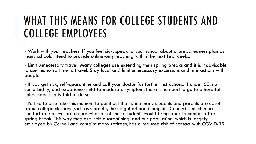### WHAT THIS MEANS FOR COLLEGE STUDENTS AND COLLEGE EMPLOYEES

- Work with your teachers. If you feel sick, speak to your school about a preparedness plan as many schools intend to provide online-only teaching within the next few weeks.

- Limit unnecessary travel. Many colleges are extending their spring breaks and it is inadvisable to use this extra time to travel. Stay local and limit unnecessary excursions and interactions with people.

- If you get sick, self-quarantine and call your doctor for further instructions. If under 60, no comorbidity, and experience mild-to-moderate symptom, there is no need to go to a hospital unless specifically told to do so.

- I'd like to also take this moment to point out that while many students and parents are upset about college closures (such as Cornell), the neighborhood (Tompkins County) is much more comfortable as we are unsure what all of those students would bring back to campus after spring break. This way they are 'self quarantining' and our population, which is largely employed by Cornell and contains many retirees, has a reduced risk of contact with COVID-19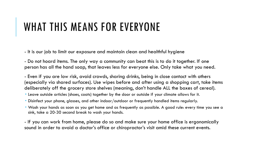### WHAT THIS MEANS FOR EVERYONE

- It is our job to limit our exposure and maintain clean and healthful hygiene

- Do not hoard items. The only way a community can beat this is to do it together. If one person has all the hand soap, that leaves less for everyone else. Only take what you need.

- Even if you are low risk, avoid crowds, sharing drinks, being in close contact with others (especially via shared surfaces). Use wipes before and after using a shopping cart, take items deliberately off the grocery store shelves (meaning, don't handle ALL the boxes of cereal).

- Leave outside articles (shoes, coats) together by the door or outside if your climate allows for it.
- Disinfect your phone, glasses, and other indoor/outdoor or frequently handled items regularly.
- Wash your hands as soon as you get home and as frequently as possible. A good rule: every time you see a sink, take a 20-30 second break to wash your hands.

- If you can work from home, please do so and make sure your home office is ergonomically sound in order to avoid a doctor's office or chiropractor's visit amid these current events.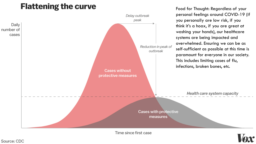### **Flattening the curve**



Time since first case



Food for Thought: Regardless of your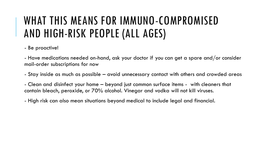## WHAT THIS MEANS FOR IMMUNO-COMPROMISED AND HIGH-RISK PEOPLE (ALL AGES)

- Be proactive!

- Have medications needed on-hand, ask your doctor if you can get a spare and/or consider mail-order subscriptions for now

- Stay inside as much as possible – avoid unnecessary contact with others and crowded areas

- Clean and disinfect your home – beyond just common surface items - with cleaners that contain bleach, peroxide, or 70% alcohol. Vinegar and vodka will not kill viruses.

- High risk can also mean situations beyond medical to include legal and financial.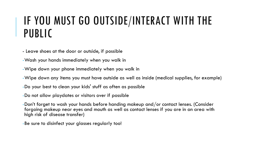### IF YOU MUST GO OUTSIDE/INTERACT WITH THE PUBLIC

- Leave shoes at the door or outside, if possible
- -Wash your hands immediately when you walk in
- -Wipe down your phone immediately when you walk in
- -Wipe down any items you must have outside as well as inside (medical supplies, for example)
- -Do your best to clean your kids' stuff as often as possible
- -Do not allow playdates or visitors over if possible
- -Don't forget to wash your hands before handing makeup and/or contact lenses. (Consider forgoing makeup near eyes and mouth as well as contact lenses if you are in an area with high risk of disease transfer)
- -Be sure to disinfect your glasses regularly too!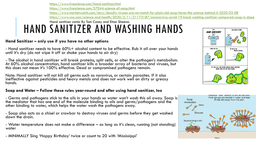<https://www.livescience.com/hand-sanitizer.html> <https://www.livescience.com/57044-science-of-soap.html> <https://www.marketwatch.com/story/deadly-viruses-are-no-match-for-plain-old-soap-heres-the-science-behind-it-2020-03-08> <https://www.vox.com/science-and-health/2020/3/11/21173187/coronavirus-covid-19-hand-washing-sanitizer-compared-soap-is-dope> Hand sanitizer comic By Tom Casey and Eitan Sheena.HAND SANITIZER AND WASHING HANDS **I AM** KILL 99 99% OF GFRM **HAND SANITIZER!!!** 

### **Hand Sanitizer – only use if you have no other options**

- Hand sanitizer needs to have 60%+ alcohol content to be effective. Rub it all over your hands until it's dry (do not wipe it off or shake your hands to air dry)

- The alcohol in hand sanitizer will break proteins, split cells, or alter the pathogen's metabolism. At 60% alcohol concentration, hand sanitizer kills a broader array of bacteria and viruses, but this does not mean it's 100% effective. Dead or compromised pathogens remain.

Note: Hand sanitizer will not kill all germs such as norovirus, or certain parasites. If it also ineffective against pesticides and heavy metals and does not work well on dirty or greasy hands.

### **Soap and Water – Follow these rules year-round and after using hand sanitizer, too**

- Germs and pathogens stick to the oils in your hands so water won't wash this oil away. Soap is  $\mid$ the mediator that has one end of the molecule binding to oils and germs/pathogens and the other binding to water, which helps the water wash the pathogens away.

- Soap also acts as a chisel or crowbar to destroy viruses and germs before they get washed down the drain.

- Water temperature does not make a difference – as long as it's clean, running (not standing) water

- MINIMALLY Sing 'Happy Birthday' twice or count to 20 with 'Mississippi'



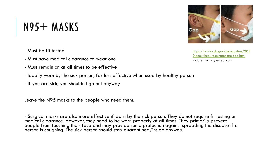## $N95+$  MASKS

- Must be fit tested
- Must have medical clearance to wear one
- Must remain on at all times to be effective
- Ideally worn by the sick person, far less effective when used by healthy person
- If you are sick, you shouldn't go out anyway

Leave the N95 masks to the people who need them.

- Surgical masks are also more effective if worn by the sick person. They do not require fit testing or medical clearance. However, they need to be worn properly at all times. They primarily prevent  $\check{ }$ people from touching their face and may provide some protection against spreading the disease if a person is coughing. The sick person should stay quarantined/inside anyway.

Gai

https://www.cdc.gov/coronavirus/201 [9-ncov/hcp/respirator-use-faq.html](https://www.cdc.gov/coronavirus/2019-ncov/hcp/respirator-use-faq.html) Picture from style-seal.com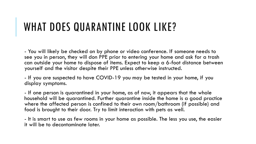### WHAT DOES QUARANTINE LOOK LIKE?

- You will likely be checked on by phone or video conference. If someone needs to see you in person, they will don PPE prior to entering your home and ask for a trash can outside your home to dispose of items. Expect to keep a 6-foot distance between yourself and the visitor despite their PPE unless otherwise instructed.

- If you are suspected to have COVID-19 you may be tested in your home, if you display symptoms.

- If one person is quarantined in your home, as of now, it appears that the whole household will be quarantined. Further quarantine inside the home is a good practice where the affected person is confined to their own room/bathroom (if possible) and food is brought to their door. Try to limit interaction with pets as well.

- It is smart to use as few rooms in your home as possible. The less you use, the easier it will be to decontaminate later.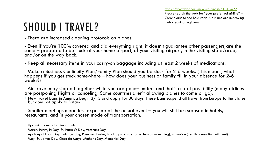<https://www.bbc.com/news/business-51818492> Please search the web for "your preferred airline" + Coronavirus to see how various airlines are improving their cleaning regimens.

# SHOULD I TRAVEL?

- There are increased cleaning protocols on planes.

- Even if you're 100% covered and did everything right, it doesn't guarantee other passengers are the same – prepared to be stuck at your home airport, at your visiting airport, in the visiting state/area, and/or on the way back.

- Keep all necessary items in your carry-on baggage including at least 2 weeks of medications.

- Make a Business Continuity Plan/Family Plan should you be stuck for 2-6 weeks. (This means, what happens if you get stuck somewhere – how does your business or family fill in your absence for 2-6 weeks?)

- Air travel may stop all together while you are gone– understand that's a real possibility (many airlines are postponing flights or canceling. Some countries aren't allowing planes to come or go).

 New travel bans in America begin 3/13 and apply for 30 days. These bans suspend all travel from Europe to the States but does not apply to Britain

- Smaller meetings mean less exposure at the actual event – you will still be exposed in hotels, restaurants, and in your chosen mode of transportation.

Upcoming events to think about:

March: Purim, Pi Day, St. Patrick's Day, Veterans Day

April: April Fools Day, Palm Sunday, Passover, Easter, Tax Day (consider an extension or e-filing), Ramadan (health comes first with lent) May: St. James Day, Cinco de Mayo, Mother's Day, Memorial Day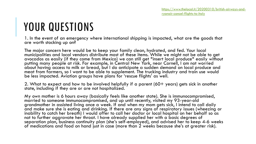### YOUR QUESTIONS

1. In the event of an emergency where international shipping is impacted, what are the goods that are worth stocking up on?

The major concern here would be to keep your family clean, hydrated, and fed. Your local municipalities and local vendors distribute most of these items. While we might not be able to get avocados as easily (if they come from Mexico) we can still get \*insert local produce\* easily without putting many people at risk. For example, in Central New York, near Cornell, I am not worried about having access to milk or bread, but I do anticipate a sudden demand on local produce and meat from farmers, so I want to be able to supplement. The trucking industry and train use would be less impacted. Aviation groups have plans for 'rescue flights' as well.

2. What to expect and how to be involved helpfully if a parent (60+ years) gets sick in another state, including if they are or are not hospitalized.

My own mother is 6 hours away (basically feels like another state). She is immunocompromised, married to someone immunocompromised, and up until recently, visited my 93-year-old grandmother in assisted living once a week. If and when my mom gets sick, I intend to call daily and make sure she is eating and drinking. If there are any signs of respiratory issues (wheezing or inability to catch her breath) I would offer to call her doctor or local hospital on her behalf so as not to further aggravate her throat. I have already supplied her with a basic degrees of separation plan, business continuity plan (she's self-employed), and advised her to keep 4-6 weeks of medications and food on hand just in case (more than 2 weeks because she's at greater risk).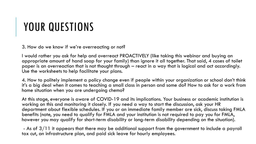### YOUR QUESTIONS

3. How do we know if we're overreacting or not?

I would rather you ask for help and overreact PROACTIVELY (like taking this webinar and buying an appropriate amount of hand soap for your family) than ignore it all together. That said, 4 cases of toilet paper is an overreaction that is not thought through – react in a way that is logical and act accordingly. Use the worksheets to help facilitate your plans.

4. How to politely implement a policy change even if people within your organization or school don't think it's a big deal when it comes to teaching a small class in person and some do? How to ask for a work from home situation when you are undergoing chemo?

At this stage, everyone is aware of COVID-19 and its implications. Your business or academic institution is working on this and monitoring it closely. If you need a way to start the discussion, ask your HR department about flexible schedules. If you or an immediate family member are sick, discuss taking FMLA benefits (note, you need to qualify for FMLA and your institution is not required to pay you for FMLA, however you may qualify for short-term disability or long-term disability depending on the situation).

- As of  $3/11$  it appears that there may be additional support from the government to include a payroll tax cut, an infrastructure plan, and paid sick leave for hourly employees.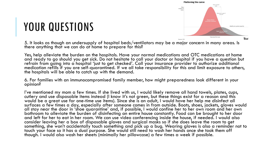

### YOUR QUESTIONS

5. It looks as though an undersupply of hospital beds/ventilators may be a major concern in many areas. Is there anything that we can do at home to prepare for this?

Yes, help alleviate the burden on the hospitals. Have your normal medications and OTC medications at home and ready to go should you get sick. Do not hesitate to call your doctor or hospital if you have a question but refrain from going into a hospital 'just to get checked'. Call your insurance provider to authorize additional medication refills if you are self-quarantined. If we all take responsibility for this and limit exposure to others, the hospitals will be able to catch up with the demand.

6. For families with an immunocompromised family member, how might preparedness look different in your opinion?

I've mentioned my mom a few times. If she lived with us, I would likely remove all hand towels, plates, cups, cutlery and use disposable items instead (I know it's not green, but these things exist for a reason and this would be a great use for one-time use items). Since she is an adult, I would have her help me disinfect all surfaces a few times a day, especially after someone comes in from outside. Boots, shoes, jackets, gloves would all stay near the door in 'shoe quarantine' and, if possible, I would confine her to her own room and her own bathroom to alleviate the burden of disinfecting an entire house constantly. Food can be brought to her door and left for her to eat in her room. We can use video conferencing inside the house, if needed. I would also consider leaving her a box of disposable gloves and surgical masks so if she does leave the room to get something, she won't accidentally touch something and pick up a bug. Wearing gloves is also a reminder not to touch your face so it has a dual purpose. She would still need to wash her hands once she took them off though. I would also wash her sheets (minimally her pillowcase) a few times a week if possible.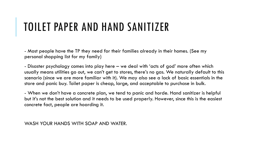### TOILET PAPER AND HAND SANITIZER

- Most people have the TP they need for their families already in their homes. (See my personal shopping list for my family)

- Disaster psychology comes into play here – we deal with 'acts of god' more often which usually means utilities go out, we can't get to stores, there's no gas. We naturally default to this scenario (since we are more familiar with it). We may also see a lack of basic essentials in the store and panic buy. Toilet paper is cheap, large, and acceptable to purchase in bulk.

- When we don't have a concrete plan, we tend to panic and horde. Hand sanitizer is helpful but it's not the best solution and it needs to be used properly. However, since this is the easiest concrete fact, people are hoarding it.

WASH YOUR HANDS WITH SOAP AND WATER.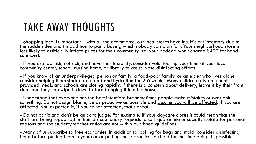## TAKE AWAY THOUGHTS

- Shopping local is important – with all the ecommerce, our local stores have insufficient inventory due to the sudden demand (in addition to panic buying which nobody can plan for). Your neighborhood store is less likely to artificially inflate prices for their community (re: your bodega won't charge \$400 for hand sanitizer).

- If you are low risk, not sick, and have the flexibility, consider volunteering your time at your local community center, school, nursing home, or library to assist in the disinfecting efforts.

- If you know of an underprivileged person or family, a food-poor family, or an elder who lives alone, consider helping them stock up on food and hydration for 2-6 weeks. Many children rely on schoolprovided meals and schools are closing rapidly. If there is a concern about delivery, leave it by their front door and they can wipe it down before bringing it into the house.

- Understand that everyone has the best intentions but sometimes people make mistakes or overlook something. Do not assign blame, be as proactive as possible and assume you will be affected. If you are affected, you expected it, if you're not affected, that's great!

- Do not panic and don't be quick to judge. For example: If your daycare closes it could mean that the staff are being supported in their precautionary requests to self-quarantine or socially isolate for personal reasons and the student/teacher ratios are not within published guidelines.

- Many of us subscribe to free economies. In addition to looking for bugs and mold, consider disinfecting items before putting them in your car or putting these practices on hold for the time being, if possible.